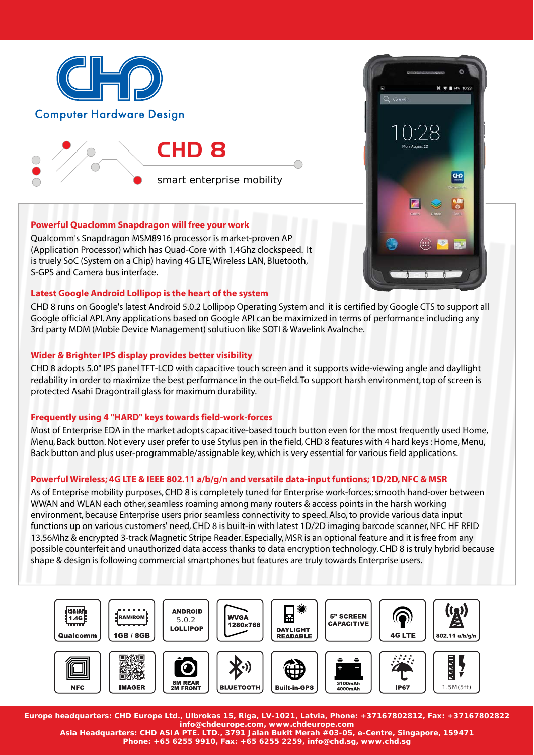

smart enterprise mobility

# **Powerful Quaclomm Snapdragon will free your work**

Qualcomm's Snapdragon MSM8916 processor is market-proven AP (Application Processor) which has Quad-Core with 1.4Ghz clockspeed. It is truely SoC (System on a Chip) having 4G LTE, Wireless LAN, Bluetooth, S-GPS and Camera bus interface.

# **Latest Google Android Lollipop is the heart of the system**

CHD 8 runs on Google's latest Android 5.0.2 Lollipop Operating System and it is certified by Google CTS to support all Google official API. Any applications based on Google API can be maximized in terms of performance including any 3rd party MDM (Mobie Device Management) solutiuon like SOTI & Wavelink Avalnche.

 $36 - 194\% + 10.28$ 

GĐ

# **Wider & Brighter IPS display provides better visibility**

CHD 8 adopts 5.0" IPS panel TFT-LCD with capacitive touch screen and it supports wide-viewing angle and dayllight redability in order to maximize the best performance in the out-field. To support harsh environment, top of screen is protected Asahi Dragontrail glass for maximum durability.

# **Frequently using 4 "HARD" keys towards field-work-forces**

Most of Enterprise EDA in the market adopts capacitive-based touch button even for the most frequently used Home, Menu, Back button. Not every user prefer to use Stylus pen in the field, CHD 8 features with 4 hard keys : Home, Menu, Back button and plus user-programmable/assignable key, which is very essential for various field applications.

# **Powerful Wireless; 4G LTE & IEEE 802.11 a/b/g/n and versatile data-input funtions; 1D/2D, NFC & MSR**

As of Enteprise mobility purposes, CHD 8 is completely tuned for Enterprise work-forces; smooth hand-over between WWAN and WLAN each other, seamless roaming among many routers & access points in the harsh working environment, because Enterprise users prior seamless connectivity to speed. Also, to provide various data input functions up on various customers' need, CHD 8 is built-in with latest 1D/2D imaging barcode scanner, NFC HF RFID 13.56Mhz & encrypted 3-track Magnetic Stripe Reader. Especially, MSR is an optional feature and it is free from any possible counterfeit and unauthorized data access thanks to data encryption technology. CHD 8 is truly hybrid because shape & design is following commercial smartphones but features are truly towards Enterprise users.



**Europe headquarters: CHD Europe Ltd., Ulbrokas 15, Riga, LV-1021, Latvia, Phone: +37167802812, Fax: +37167802822 info@chdeurope.com, www.chdeurope.com**

**Asia Headquarters: CHD ASIA PTE. LTD., 3791 Jalan Bukit Merah #03-05, e-Centre, Singapore, 159471 Phone: +65 6255 9910, Fax: +65 6255 2259, info@chd.sg, www.chd.sg**